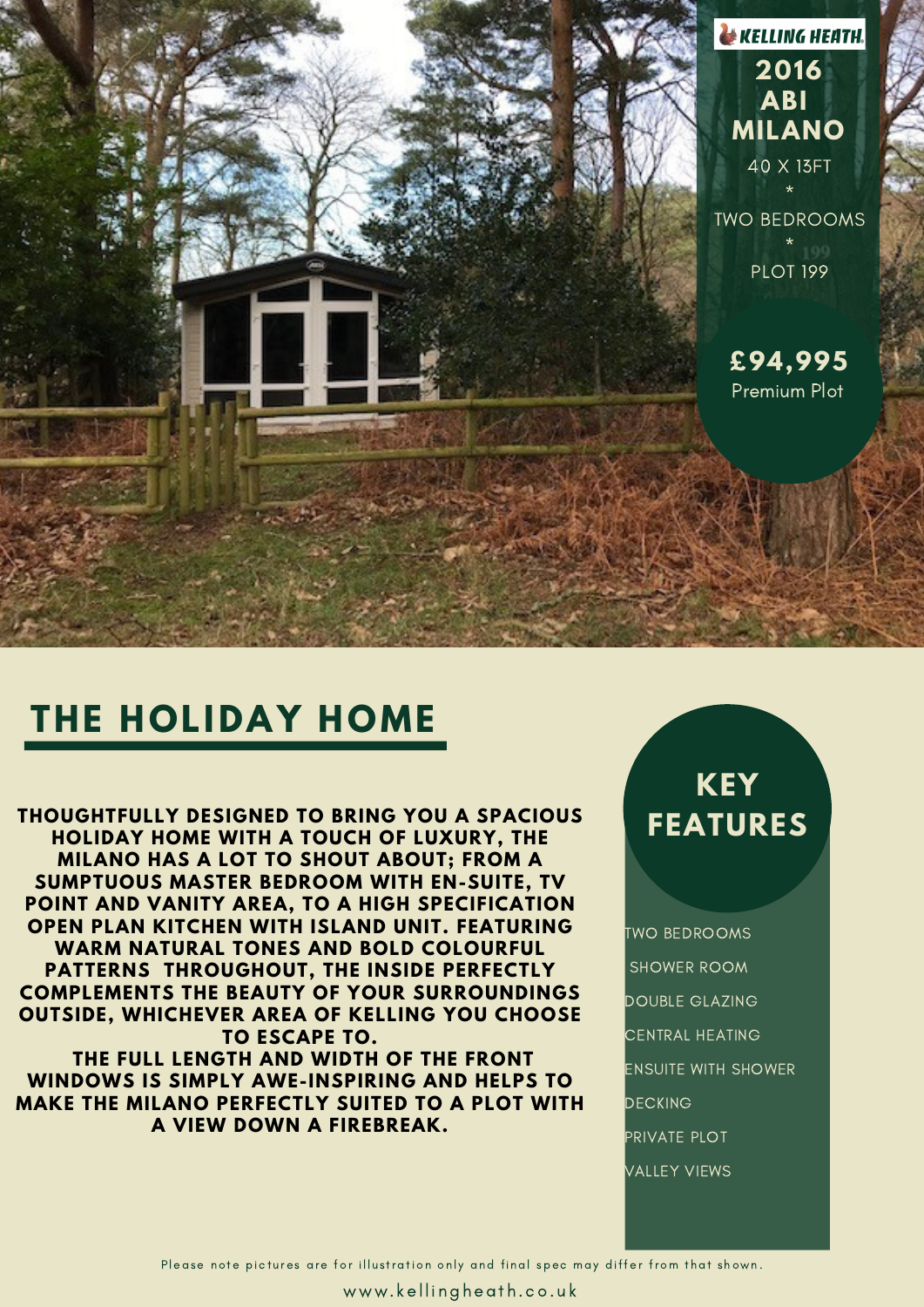

## **THE HOLIDAY HOME**

**THOUGHTFULLY DESIGNED TO BRING YOU A SPACIOUS HOLIDAY HOME WITH A TOUCH OF LUXURY, THE MILANO HAS A LOT TO SHOUT ABOUT; FROM A SUMPTUOUS MASTER BEDROOM WITH EN-SUITE, TV POINT AND VANITY AREA, TO A HIGH SPECIFICATION OPEN PLAN KITCHEN WITH ISLAND UNIT. FEATURING WARM NATURAL TONES AND BOLD COLOURFUL PATTERNS THROUGHOUT, THE INSIDE PERFECTLY COMPLEMENTS THE BEAUTY OF YOUR SURROUNDINGS OUTSIDE, WHICHEVER AREA OF KELLING YOU CHOOSE TO ESCAPE TO. THE FULL LENGTH AND WIDTH OF THE FRONT WINDOWS IS SIMPLY AWE-INSPIRING AND HELPS TO MAKE THE MILANO PERFECTLY SUITED TO A PLOT WITH**

**A VIEW DOWN A FIREBREAK.**

#### **KEY FEATURES**

TWO BEDROOMS SHOWER ROOM DOUBLE GLAZING CENTRAL HEATING ENSUITE WITH SHOWER DECKING PRIVATE PLOT VALLEY VIEWS

Please note pictures are for illustration only and final spec may differ from that shown.

www.kellingheath.co.uk